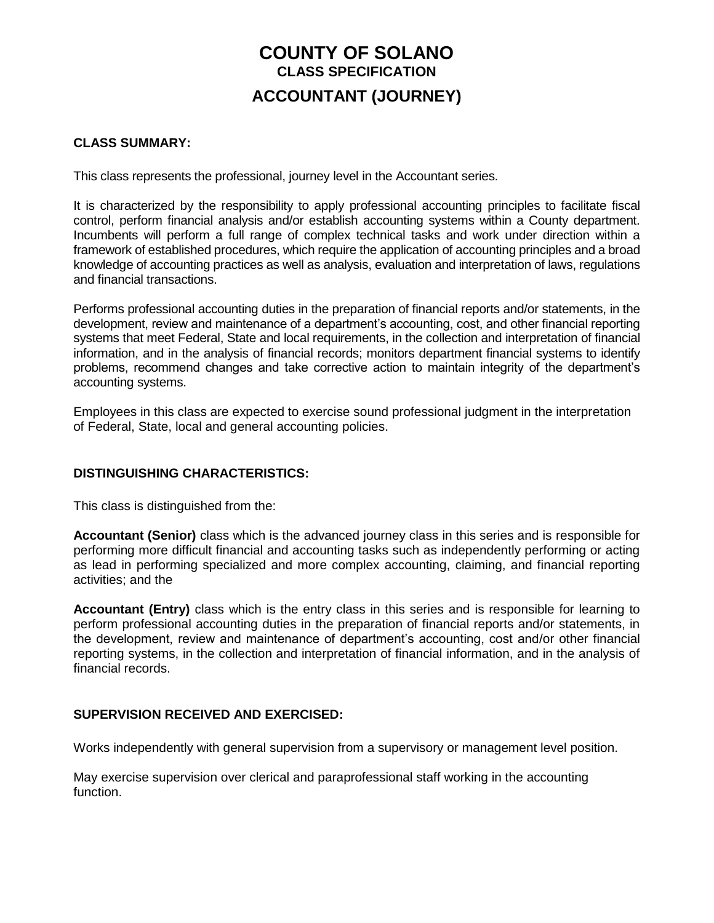# **COUNTY OF SOLANO CLASS SPECIFICATION ACCOUNTANT (JOURNEY)**

## **CLASS SUMMARY:**

This class represents the professional, journey level in the Accountant series.

It is characterized by the responsibility to apply professional accounting principles to facilitate fiscal control, perform financial analysis and/or establish accounting systems within a County department. Incumbents will perform a full range of complex technical tasks and work under direction within a framework of established procedures, which require the application of accounting principles and a broad knowledge of accounting practices as well as analysis, evaluation and interpretation of laws, regulations and financial transactions.

Performs professional accounting duties in the preparation of financial reports and/or statements, in the development, review and maintenance of a department's accounting, cost, and other financial reporting systems that meet Federal, State and local requirements, in the collection and interpretation of financial information, and in the analysis of financial records; monitors department financial systems to identify problems, recommend changes and take corrective action to maintain integrity of the department's accounting systems.

Employees in this class are expected to exercise sound professional judgment in the interpretation of Federal, State, local and general accounting policies.

# **DISTINGUISHING CHARACTERISTICS:**

This class is distinguished from the:

**Accountant (Senior)** class which is the advanced journey class in this series and is responsible for performing more difficult financial and accounting tasks such as independently performing or acting as lead in performing specialized and more complex accounting, claiming, and financial reporting activities; and the

**Accountant (Entry)** class which is the entry class in this series and is responsible for learning to perform professional accounting duties in the preparation of financial reports and/or statements, in the development, review and maintenance of department's accounting, cost and/or other financial reporting systems, in the collection and interpretation of financial information, and in the analysis of financial records.

# **SUPERVISION RECEIVED AND EXERCISED:**

Works independently with general supervision from a supervisory or management level position.

May exercise supervision over clerical and paraprofessional staff working in the accounting function.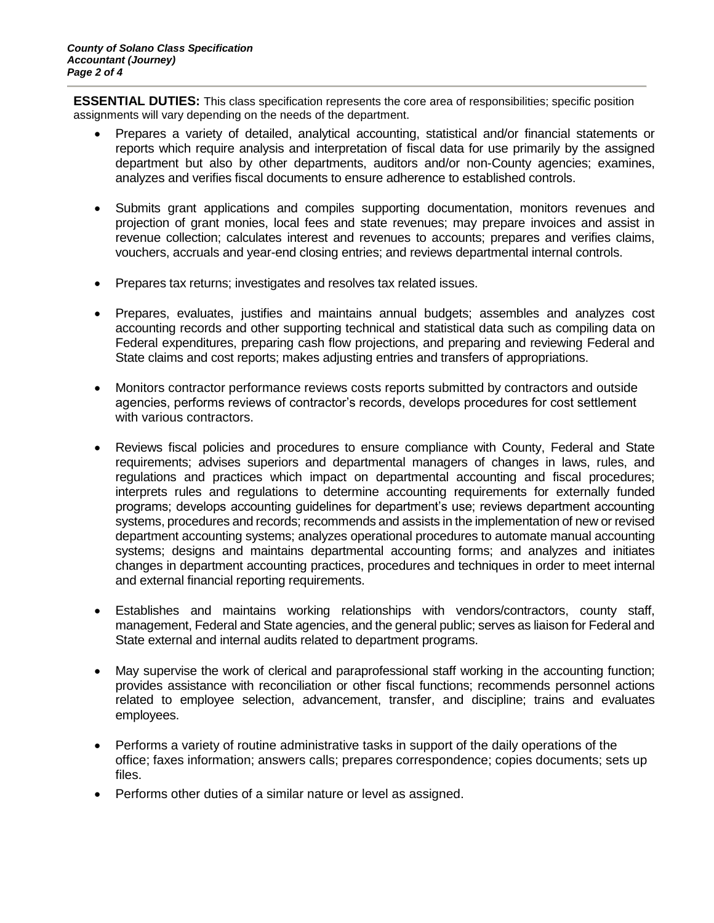**ESSENTIAL DUTIES:** This class specification represents the core area of responsibilities; specific position assignments will vary depending on the needs of the department.

- Prepares a variety of detailed, analytical accounting, statistical and/or financial statements or reports which require analysis and interpretation of fiscal data for use primarily by the assigned department but also by other departments, auditors and/or non-County agencies; examines, analyzes and verifies fiscal documents to ensure adherence to established controls.
- Submits grant applications and compiles supporting documentation, monitors revenues and projection of grant monies, local fees and state revenues; may prepare invoices and assist in revenue collection; calculates interest and revenues to accounts; prepares and verifies claims, vouchers, accruals and year-end closing entries; and reviews departmental internal controls.
- Prepares tax returns; investigates and resolves tax related issues.
- Prepares, evaluates, justifies and maintains annual budgets; assembles and analyzes cost accounting records and other supporting technical and statistical data such as compiling data on Federal expenditures, preparing cash flow projections, and preparing and reviewing Federal and State claims and cost reports; makes adjusting entries and transfers of appropriations.
- Monitors contractor performance reviews costs reports submitted by contractors and outside agencies, performs reviews of contractor's records, develops procedures for cost settlement with various contractors.
- Reviews fiscal policies and procedures to ensure compliance with County, Federal and State requirements; advises superiors and departmental managers of changes in laws, rules, and regulations and practices which impact on departmental accounting and fiscal procedures; interprets rules and regulations to determine accounting requirements for externally funded programs; develops accounting guidelines for department's use; reviews department accounting systems, procedures and records; recommends and assists in the implementation of new or revised department accounting systems; analyzes operational procedures to automate manual accounting systems; designs and maintains departmental accounting forms; and analyzes and initiates changes in department accounting practices, procedures and techniques in order to meet internal and external financial reporting requirements.
- Establishes and maintains working relationships with vendors/contractors, county staff, management, Federal and State agencies, and the general public; serves as liaison for Federal and State external and internal audits related to department programs.
- May supervise the work of clerical and paraprofessional staff working in the accounting function; provides assistance with reconciliation or other fiscal functions; recommends personnel actions related to employee selection, advancement, transfer, and discipline; trains and evaluates employees.
- Performs a variety of routine administrative tasks in support of the daily operations of the office; faxes information; answers calls; prepares correspondence; copies documents; sets up files.
- Performs other duties of a similar nature or level as assigned.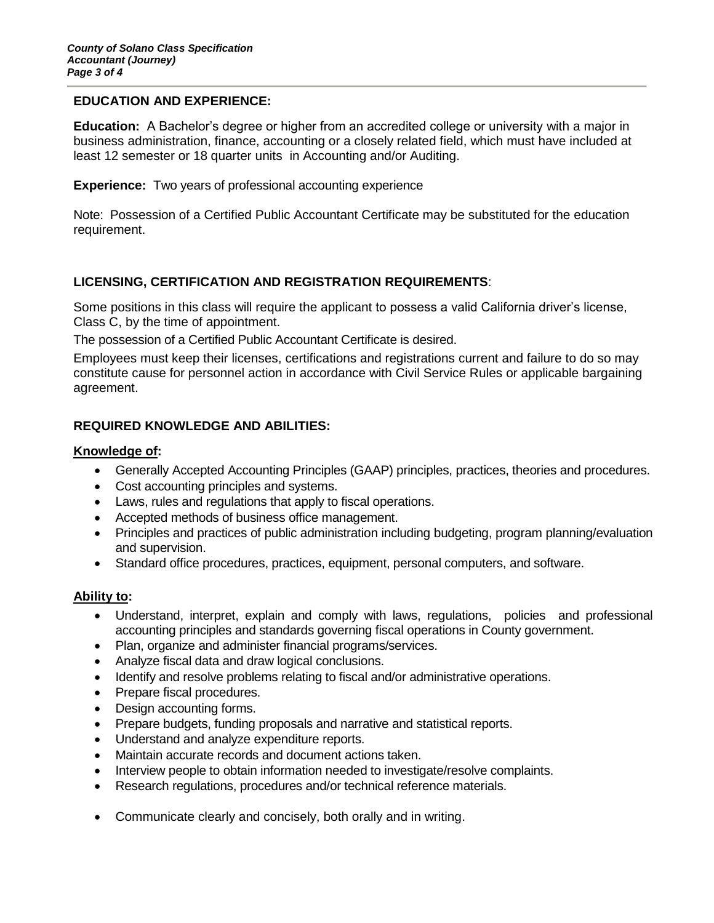### **EDUCATION AND EXPERIENCE:**

**Education:** A Bachelor's degree or higher from an accredited college or university with a major in business administration, finance, accounting or a closely related field, which must have included at least 12 semester or 18 quarter units in Accounting and/or Auditing.

**Experience:** Two years of professional accounting experience

Note: Possession of a Certified Public Accountant Certificate may be substituted for the education requirement.

# **LICENSING, CERTIFICATION AND REGISTRATION REQUIREMENTS**:

Some positions in this class will require the applicant to possess a valid California driver's license, Class C, by the time of appointment.

The possession of a Certified Public Accountant Certificate is desired.

Employees must keep their licenses, certifications and registrations current and failure to do so may constitute cause for personnel action in accordance with Civil Service Rules or applicable bargaining agreement.

# **REQUIRED KNOWLEDGE AND ABILITIES:**

### **Knowledge of:**

- Generally Accepted Accounting Principles (GAAP) principles, practices, theories and procedures.
- Cost accounting principles and systems.
- Laws, rules and regulations that apply to fiscal operations.
- Accepted methods of business office management.
- Principles and practices of public administration including budgeting, program planning/evaluation and supervision.
- Standard office procedures, practices, equipment, personal computers, and software.

#### **Ability to:**

- Understand, interpret, explain and comply with laws, regulations, policies and professional accounting principles and standards governing fiscal operations in County government.
- Plan, organize and administer financial programs/services.
- Analyze fiscal data and draw logical conclusions.
- Identify and resolve problems relating to fiscal and/or administrative operations.
- Prepare fiscal procedures.
- Design accounting forms.
- Prepare budgets, funding proposals and narrative and statistical reports.
- Understand and analyze expenditure reports.
- Maintain accurate records and document actions taken.
- Interview people to obtain information needed to investigate/resolve complaints.
- Research regulations, procedures and/or technical reference materials.
- Communicate clearly and concisely, both orally and in writing.